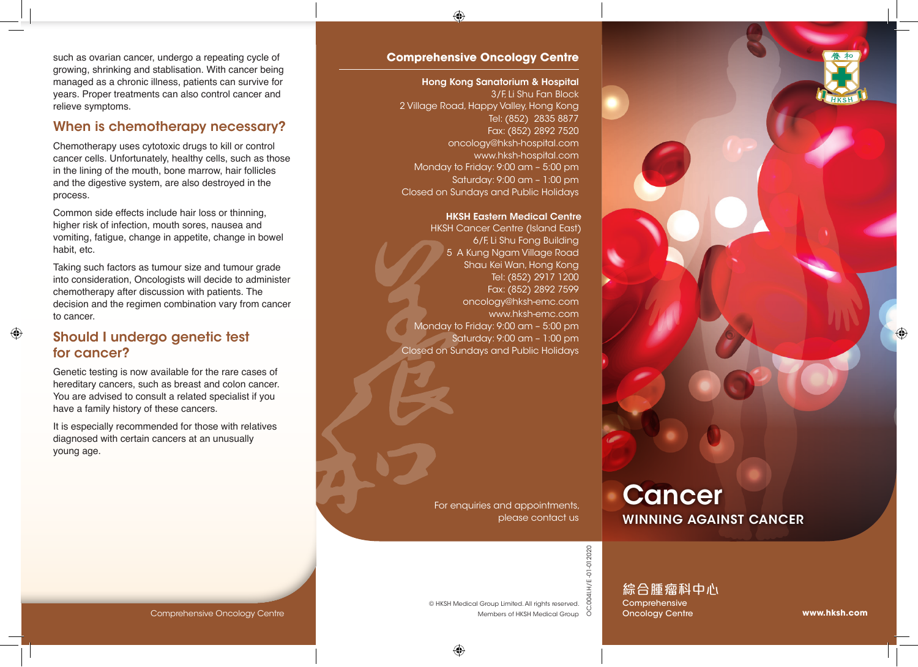

such as ovarian cancer, undergo a repeating cycle of growing, shrinking and stablisation. With cancer being managed as a chronic illness, patients can survive for years. Proper treatments can also control cancer and relieve symptoms.

#### When is chemotherapy necessary?

Chemotherapy uses cytotoxic drugs to kill or control cancer cells. Unfortunately, healthy cells, such as those in the lining of the mouth, bone marrow, hair follicles and the digestive system, are also destroyed in the process.

Common side effects include hair loss or thinning, higher risk of infection, mouth sores, nausea and vomiting, fatigue, change in appetite, change in bowel habit, etc.

Taking such factors as tumour size and tumour grade into consideration, Oncologists will decide to administer chemotherapy after discussion with patients. The decision and the regimen combination vary from cancer to cancer.

#### Should I undergo genetic test for cancer?

Genetic testing is now available for the rare cases of hereditary cancers, such as breast and colon cancer. You are advised to consult a related specialist if you have a family history of these cancers.

It is especially recommended for those with relatives diagnosed with certain cancers at an unusually young age.

#### **Comprehensive Oncology Centre**

Hong Kong Sanatorium & Hospital 3/F, Li Shu Fan Block 2 Village Road, Happy Valley, Hong Kong Tel: (852) 2835 8877 Fax: (852) 2892 7520 oncology@hksh-hospital.com www.hksh-hospital.com Monday to Friday: 9:00 am – 5:00 pm Saturday: 9:00 am – 1:00 pm Closed on Sundays and Public Holidays

#### HKSH Eastern Medical Centre

HKSH Cancer Centre (Island East) 6/F, Li Shu Fong Building 5 A Kung Ngam Village Road Shau Kei Wan, Hong Kong Tel: (852) 2917 1200 Fax: (852) 2892 7599 oncology@hksh-emc.com www.hksh-emc.com Monday to Friday: 9:00 am – 5:00 pm Saturday: 9:00 am – 1:00 pm Closed on Sundays and Public Holidays

> For enquiries and appointments, please contact us

© HKSH Medical Group Limited. All rights reserved.

# **Cancer** WINNING AGAINST CANCER

COM<br>
Members of HKSH Medical Group<br>
Members of HKSH Medical Group<br>
O OC.004I.H/E -01-012020

綜合腫瘤科中心 Comprehensive **Oncology Centre** 

#### Comprehensive Oncology Centre